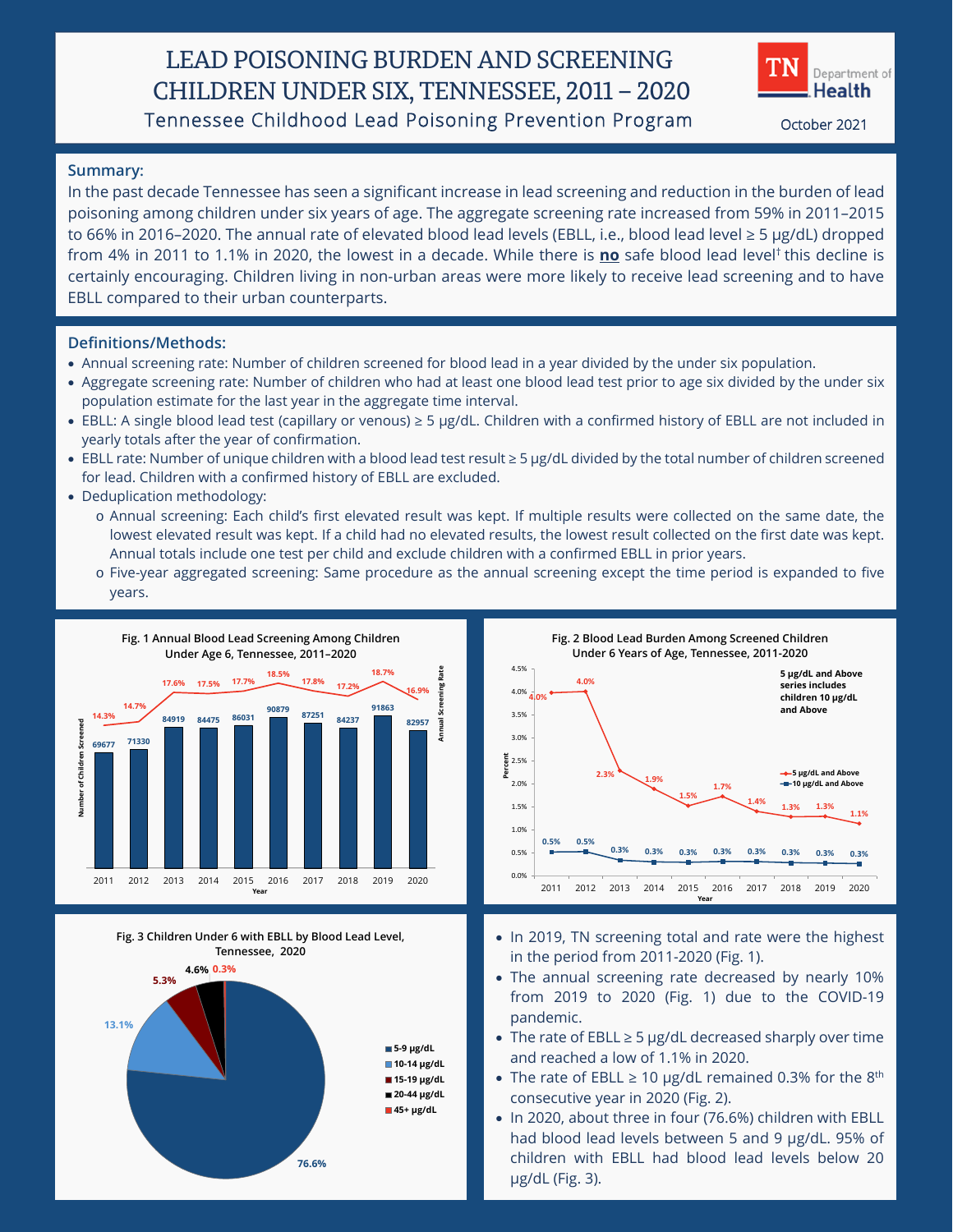## LEAD POISONING BURDEN AND SCREENING CHILDREN UNDER SIX, TENNESSEE, 2011 – 2020 Tennessee Childhood Lead Poisoning Prevention Program October 2021



## **Summary:**

In the past decade Tennessee has seen a significant increase in lead screening and reduction in the burden of lead poisoning among children under six years of age. The aggregate screening rate increased from 59% in 2011–2015 to 66% in 2016–2020. The annual rate of elevated blood lead levels (EBLL, i.e., blood lead level ≥ 5 µg/dL) dropped from 4% in 2011 to 1.1% in 2020, the lowest in a decade. While there is **no** safe blood lead level† this decline is certainly encouraging. Children living in non-urban areas were more likely to receive lead screening and to have EBLL compared to their urban counterparts.

### **Definitions/Methods:**

- Annual screening rate: Number of children screened for blood lead in a year divided by the under six population.
- Aggregate screening rate: Number of children who had at least one blood lead test prior to age six divided by the under six population estimate for the last year in the aggregate time interval.
- EBLL: A single blood lead test (capillary or venous) ≥ 5 µg/dL. Children with a confirmed history of EBLL are not included in yearly totals after the year of confirmation.
- EBLL rate: Number of unique children with a blood lead test result ≥ 5 µg/dL divided by the total number of children screened for lead. Children with a confirmed history of EBLL are excluded.
- Deduplication methodology:
	- o Annual screening: Each child's first elevated result was kept. If multiple results were collected on the same date, the lowest elevated result was kept. If a child had no elevated results, the lowest result collected on the first date was kept. Annual totals include one test per child and exclude children with a confirmed EBLL in prior years.
	- o Five-year aggregated screening: Same procedure as the annual screening except the time period is expanded to five years.





**Fig. 3 Children Under 6 with EBLL by Blood Lead Level, Tennessee, 2020**



- In 2019, TN screening total and rate were the highest in the period from 2011-2020 (Fig. 1).
- The annual screening rate decreased by nearly 10% from 2019 to 2020 (Fig. 1) due to the COVID-19 pandemic.
- The rate of EBLL ≥ 5 µg/dL decreased sharply over time and reached a low of 1.1% in 2020.
- The rate of EBLL  $\geq 10$  µg/dL remained 0.3% for the 8<sup>th</sup> consecutive year in 2020 (Fig. 2).
- In 2020, about three in four (76.6%) children with EBLL had blood lead levels between 5 and 9 µg/dL. 95% of children with EBLL had blood lead levels below 20 µg/dL (Fig. 3).